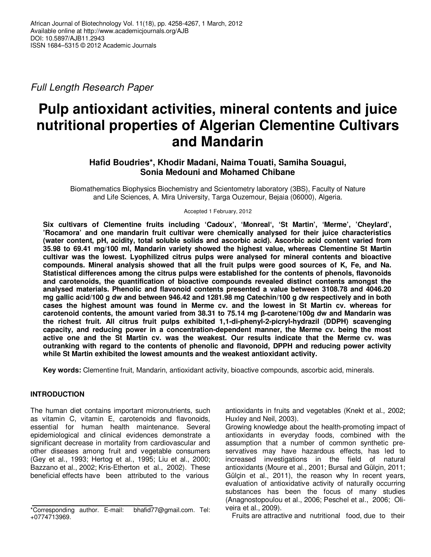Full Length Research Paper

# **Pulp antioxidant activities, mineral contents and juice nutritional properties of Algerian Clementine Cultivars and Mandarin**

# **Hafid Boudries\*, Khodir Madani, Naima Touati, Samiha Souagui, Sonia Medouni and Mohamed Chibane**

Biomathematics Biophysics Biochemistry and Scientometry laboratory (3BS), Faculty of Nature and Life Sciences, A. Mira University, Targa Ouzemour, Bejaia (06000), Algeria.

Accepted 1 February, 2012

**Six cultivars of Clementine fruits including 'Cadoux', 'Monreal', 'St Martin', 'Merme', 'Cheylard', 'Rocamora' and one mandarin fruit cultivar were chemically analysed for their juice characteristics (water content, pH, acidity, total soluble solids and ascorbic acid). Ascorbic acid content varied from 35.98 to 69.41 mg/100 ml, Mandarin variety showed the highest value, whereas Clementine St Martin cultivar was the lowest. Lyophilized citrus pulps were analysed for mineral contents and bioactive compounds. Mineral analysis showed that all the fruit pulps were good sources of K, Fe, and Na. Statistical differences among the citrus pulps were established for the contents of phenols, flavonoids and carotenoids, the quantification of bioactive compounds revealed distinct contents amongst the analysed materials. Phenolic and flavonoid contents presented a value between 3108.78 and 4046.20 mg gallic acid/100 g dw and between 946.42 and 1281.98 mg Catechin/100 g dw respectively and in both cases the highest amount was found in Merme cv. and the lowest in St Martin cv. whereas for carotenoid contents, the amount varied from 38.31 to 75.14 mg β-carotene/100g dw and Mandarin was the richest fruit. All citrus fruit pulps exhibited 1,1-di-phenyl-2-picryl-hydrazil (DDPH) scavenging capacity, and reducing power in a concentration-dependent manner, the Merme cv. being the most active one and the St Martin cv. was the weakest. Our results indicate that the Merme cv. was outranking with regard to the contents of phenolic and flavonoid, DPPH and reducing power activity while St Martin exhibited the lowest amounts and the weakest antioxidant activity.** 

**Key words:** Clementine fruit, Mandarin, antioxidant activity, bioactive compounds, ascorbic acid, minerals.

# **INTRODUCTION**

The human diet contains important micronutrients, such as vitamin C, vitamin E, carotenoids and flavonoids, essential for human health maintenance. Several epidemiological and clinical evidences demonstrate a significant decrease in mortality from cardiovascular and other diseases among fruit and vegetable consumers (Gey et al., 1993; Hertog et al., 1995; Liu et al., 2000; Bazzano et al., 2002; Kris-Etherton et al., 2002). These beneficial effects have been attributed to the various

antioxidants in fruits and vegetables (Knekt et al., 2002; Huxley and Neil, 2003).

Growing knowledge about the health-promoting impact of antioxidants in everyday foods, combined with the assumption that a number of common synthetic preservatives may have hazardous effects, has led to increased investigations in the field of natural antioxidants (Moure et al., 2001; Bursal and Gülçin, 2011; Gülçin et al., 2011), the reason why In recent years, evaluation of antioxidative activity of naturally occurring substances has been the focus of many studies (Anagnostopoulou et al., 2006; Peschel et al., 2006; Oliveira et al., 2009).

Fruits are attractive and nutritional food, due to their

<sup>\*</sup>Corresponding author. E-mail: bhafid77@gmail.com. Tel: +0774713969.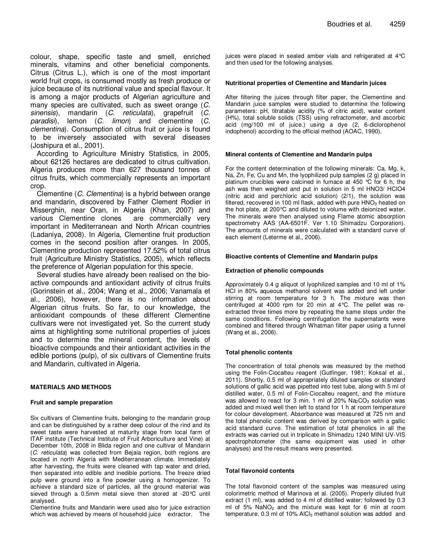colour, shape, specific taste and smell, enriched minerals, vitamins and other beneficial components. Citrus (Citrus L.), which is one of the most important world fruit crops, is consumed mostly as fresh produce or juice because of its nutritional value and special flavour. It is among a major products of Algerian agriculture and many species are cultivated, such as sweet orange (C. sinensis), mandarin (C. reticulata), grapefruit (C. paradisi), lemon (C. limon) and clementine (C. clementina). Consumption of citrus fruit or juice is found to be inversely associated with several diseases (Joshipura et al., 2001).

According to Agriculture Ministry Statistics, in 2005, about 62126 hectares are dedicated to citrus cultivation. Algeria produces more than 627 thousand tonnes of citrus fruits, which commercially represents an important crop.

Clementine (C. Clementina) is a hybrid between orange and mandarin, discovered by Father Clement Rodier in Misserghin, near Oran, in Algeria (Khan, 2007) and various Clementine clones are commercially very important in Mediterranean and North African countries (Ladaniya, 2008). In Algeria, Clementine fruit production comes in the second position after oranges. In 2005, Clementine production represented 17.52% of total citrus fruit (Agriculture Ministry Statistics, 2005), which reflects the preference of Algerian population for this specie.

Several studies have already been realised on the bioactive compounds and antioxidant activity of citrus fruits (Gorinstein et al., 2004; Wang et al., 2006; Vanamala et al., 2006), however, there is no information about Algerian citrus fruits. So far, to our knowledge, the antioxidant compounds of these different Clementine cultivars were not investigated yet. So the current study aims at highlighting some nutritional properties of juices and to determine the mineral content, the levels of bioactive compounds and their antioxidant activities in the edible portions (pulp), of six cultivars of Clementine fruits and Mandarin, cultivated in Algeria.

## **MATERIALS AND METHODS**

#### **Fruit and sample preparation**

Six cultivars of Clementine fruits, belonging to the mandarin group and can be distinguished by a rather deep colour of the rind and its sweet taste were harvested at maturity stage from local farm of ITAF institute (Technical Institute of Fruit Arboriculture and Vine) at December 10th, 2008 in Blida region and one cultivar of Mandarin (C. reticulata) was collected from Bejaia region, both regions are located in north Algeria with Mediterranean climate. Immediately after harvesting, the fruits were cleaned with tap water and dried, then separated into edible and inedible portions. The freeze dried pulp were ground into a fine powder using a homogenizer. To achieve a standard size of particles, all the ground material was sieved through a 0.5mm metal sieve then stored at -20°C until analysed.

Clementine fruits and Mandarin were used also for juice extraction which was achieved by means of household juice extractor. The juices were placed in sealed amber vials and refrigerated at 4°C and then used for the following analyses.

#### **Nutritional properties of Clementine and Mandarin juices**

After filtering the juices through filter paper, the Clementine and Mandarin juice samples were studied to determine the following parameters: pH, titratable acidity (% of citric acid), water content (H%), total soluble solids (TSS) using refractometer, and ascorbic acid (mg/100 ml of juice.) using a dye (2, 6-diclorophenol indophenol) according to the official method (AOAC, 1990).

#### **Mineral contents of Clementine and Mandarin pulps**

For the content determination of the following minerals: Ca, Mg, k, Na, Zn, Fe, Cu and Mn, the lyophilized pulp samples (2 g) placed in platinum crucibles were calcined in fumace at 450 °C for 6 h, the ash was then weighed and put in solution in 5 ml HNO3/ HClO4 (nitric acid and perchloric acid solution) (2/1), the solution was filtered, recovered in 100 ml flask, added with pure  $HNO<sub>3</sub>$  heated on the hot plate, at 200°C and diluted to volume with deionized water. The minerals were then analysed using Flame atomic absorption spectrometry AAS (AA-6501F. Ver 1.10 Shimadzu Corporation). The amounts of minerals were calculated with a standard curve of each element (Leterme et al., 2006).

#### **Bioactive contents of Clementine and Mandarin pulps**

#### **Extraction of phenolic compounds**

Approximately 0.4 g aliquot of lyophilized samples and 10 ml of 1% HCl in 80% aqueous methanol solvent was added and left under stirring at room temperature for 3 h. The mixture was then centrifuged at 4000 rpm for 20 min at 4°C. The pellet was reextracted three times more by repeating the same steps under the same conditions. Following centrifugation the supernatants were combined and filtered through Whatman filter paper using a funnel (Wang et al., 2006).

#### **Total phenolic contents**

The concentration of total phenols was measured by the method using the Folin-Ciocalteu reagent (Gutfinger, 1981; Koksal et al., 2011). Shortly, 0.5 ml of appropriately diluted samples or standard solutions of gallic acid was pipetted into test tube, along with 5 ml of distilled water, 0.5 ml of Folin-Ciocalteu reagent, and the mixture was allowed to react for 3 min. 1 ml of 20%  $Na<sub>2</sub>CO<sub>3</sub>$  solution was added and mixed well then left to stand for 1 h at room temperature for colour development. Absorbance was measured at 725 nm and the total phenolic content was derived by comparison with a gallic acid standard curve. The estimation of total phenolics in all the extracts was carried out in triplicate in Shimadzu 1240 MINI UV-VIS spectrophotometer (the same equipment was used in other analyses) and the result means were presented.

#### **Total flavonoid contents**

The total flavonoid content of the samples was measured using colorimetric method of Marinova et al. (2005). Properly diluted fruit extract (1 ml), was added to 4 ml of distilled water; followed by 0.3 ml of 5%  $NaNO<sub>2</sub>$  and the mixture was kept for 6 min at room temperature.  $0.3$  ml of 10% AlCl<sub>3</sub> methanol solution was added and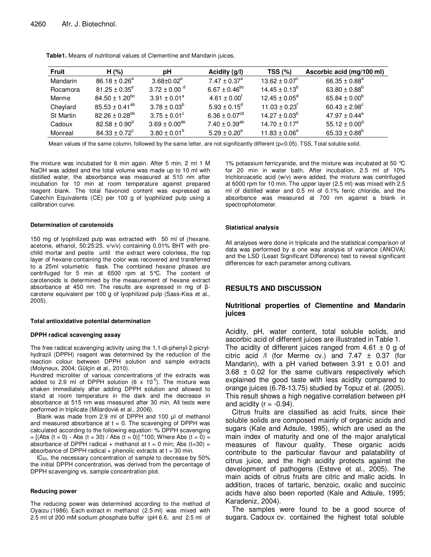| <b>Fruit</b>     | H(% )                          | рH                           | Acidity $(g/l)$               | TSS(%)                        | Ascorbic acid (mg/100 ml)     |
|------------------|--------------------------------|------------------------------|-------------------------------|-------------------------------|-------------------------------|
| Mandarin         | $86.18 \pm 0.26^a$             | $3.68 \pm 0.02^e$            | $7.47 \pm 0.37$ <sup>a</sup>  | $13.62 \pm 0.07^{\circ}$      | $66.35 \pm 0.88^a$            |
| Rocamora         | $81.25 \pm 0.35^{\circ}$       | $3.72 \pm 0.00$ <sup>d</sup> | $6.67 \pm 0.46^{\rm bc}$      | $14.45 \pm 0.13^b$            | 63.80 $\pm$ 0.88 <sup>b</sup> |
| Merme            | $84.50 \pm 1.20$ <sup>bc</sup> | $3.91 \pm 0.01^a$            | $4.61 \pm 0.00^{\dagger}$     | $12.45 \pm 0.05^{\circ}$      | 65.84 $\pm$ 0.00 <sup>b</sup> |
| Cheylard         | $85.53 \pm 0.41^{ab}$          | $3.78 \pm 0.03^b$            | $5.93 \pm 0.15^{\circ}$       | $11.03 \pm 0.23$ <sup>t</sup> | $60.43 \pm 2.98^{\circ}$      |
| <b>St Martin</b> | $82.26 \pm 0.28$ <sup>de</sup> | $3.75 \pm 0.01^{\circ}$      | 6.36 $\pm$ 0.07 <sup>cd</sup> | $14.27 \pm 0.03^b$            | $47.97 \pm 0.44^e$            |
| Cadoux           | $82.58 \pm 0.90^{\circ}$       | $3.69 \pm 0.00^{\text{de}}$  | $7.40 \pm 0.39^{ab}$          | $14.70 \pm 0.17^a$            | 55.12 $\pm$ 0.00 <sup>d</sup> |
| Monreal          | $84.33 \pm 0.72^{\circ}$       | $3.80 \pm 0.01^b$            | $5.29 \pm 0.20^e$             | $11.83 \pm 0.06^e$            | $65.33 \pm 0.88^b$            |

**Table1.** Means of nutritional values of Clementine and Mandarin juices.

Mean values of the same column, followed by the same letter, are not significantly different (p<0.05). TSS, Total soluble solid.

the mixture was incubated for 6 min again. After 5 min, 2 ml 1 M NaOH was added and the total volume was made up to 10 ml with distilled water, the absorbance was measured at 510 nm after incubation for 10 min at room temperature against prepared reagent blank. The total flavonoid content was expressed as Catechin Equivalents (CE) per 100 g of lyophilized pulp using a calibration curve.

#### **Determination of carotenoids**

150 mg of lyophilized pulp was extracted with 50 ml of (hexane, acetone, ethanol, 50:25:25. v/v/v) containing 0.01% BHT with prechild mortar and pestle until the extract were colorless, the top layer of hexane containing the color was recovered and transferred to a 25ml volumetric flask. The combined hexane phases are centrifuged for 5 min at 6500 rpm at 5°C. The content of carotenoids is determined by the measurement of hexane extract absorbance at 450 nm. The results are expressed in mg of βcarotene equivalent per 100 g of lyophilized pulp (Sass-Kiss et al., 2005).

#### **Total antioxidative potential determination**

#### **DPPH radical scavenging assay**

The free radical scavenging activity using the 1,1-di-phenyl-2-picrylhydrazil (DPPH) reagent was determined by the reduction of the reaction colour between DPPH solution and sample extracts (Molyneux, 2004; Gülçin et al., 2010).

Hundred microliter of various concentrations of the extracts was added to 2.9 ml of DPPH solution (6 x 10<sup>-5</sup>). The mixture was shaken immediately after adding DPPH solution and allowed to stand at room temperature in the dark and the decrease in absorbance at 515 nm was measured after 30 min. All tests were performed in triplicate (Milardovié et al., 2006).

Blank was made from 2.9 ml of DPPH and 100 µl of methanol and measured absorbance at  $t = 0$ . The scavenging of DPPH was calculated according to the following equation: % DPPH scavenging  $=[(Abs (t = 0) - Abs (t = 30) / Abs (t = 0)] * 100;$  Where Abs  $(t = 0) =$ absorbance of DPPH radical + methanol at  $t = 0$  min; Abs  $(t=30) =$ absorbance of DPPH radical  $+$  phenolic extracts at  $t = 30$  min.

 $IC_{50}$ , the necessary concentration of sample to decrease by 50% the initial DPPH concentration, was derived from the percentage of DPPH scavenging vs. sample concentration plot.

#### **Reducing power**

The reducing power was determined according to the method of Oyaizu (1986). Each extract in methanol (2.5 ml) was mixed with 2.5 ml of 200 mM sodium phosphate buffer (pH 6.6, and 2.5 ml of

1% potassium ferricyanide, and the mixture was incubated at 50 °C for 20 min in water bath. After incubation, 2.5 ml of 10% trichloroacetic acid (w/v) were added, the mixture was centrifuged at 6000 rpm for 10 min. The upper layer (2.5 ml) was mixed with 2.5 ml of distilled water and 0.5 ml of 0.1% ferric chloride, and the absorbance was measured at 700 nm against a blank in spectrophotometer.

#### **Statistical analysis**

All analyses were done in triplicate and the statistical comparison of data was performed by a one way analysis of variance (ANOVA) and the LSD (Least Significant Difference) test to reveal significant differences for each parameter among cultivars.

## **RESULTS AND DISCUSSION**

# **Nutritional properties of Clementine and Mandarin juices**

Acidity, pH, water content, total soluble solids, and ascorbic acid of different juices are illustrated in Table 1. The acidity of different juices ranged from  $4.61 \pm 0$  g of citric acid  $/$  (for Merme cv.) and 7.47  $\pm$  0.37 (for Mandarin), with a pH varied between  $3.91 \pm 0.01$  and  $3.68 \pm 0.02$  for the same cultivars respectively which explained the good taste with less acidity compared to orange juices (6.78-13.75) studied by Topuz et al. (2005). This result shows a high negative correlation between pH and acidity ( $r = -0.94$ ).

Citrus fruits are classified as acid fruits, since their soluble solids are composed mainly of organic acids and sugars (Kale and Adsule, 1995), which are used as the main index of maturity and one of the major analytical measures of flavour quality. These organic acids contribute to the particular flavour and palatability of citrus juice, and the high acidity protects against the development of pathogens (Esteve et al., 2005). The main acids of citrus fruits are citric and malic acids. In addition, traces of tartaric, benzoic, oxalic and succinic acids have also been reported (Kale and Adsule, 1995; Karadeniz, 2004).

The samples were found to be a good source of sugars. Cadoux cv. contained the highest total soluble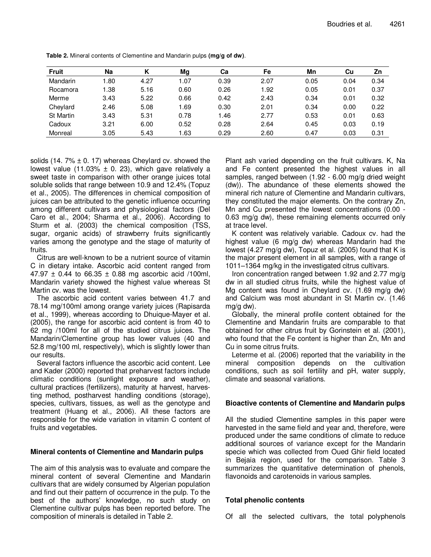| <b>Fruit</b>     | Na          |      | Mg   | Сa   | Fe   | Mn   | Cu   | Zn   |
|------------------|-------------|------|------|------|------|------|------|------|
| Mandarin         | .80         | 4.27 | 1.07 | 0.39 | 2.07 | 0.05 | 0.04 | 0.34 |
| Rocamora         | $\cdot$ .38 | 5.16 | 0.60 | 0.26 | 1.92 | 0.05 | 0.01 | 0.37 |
| Merme            | 3.43        | 5.22 | 0.66 | 0.42 | 2.43 | 0.34 | 0.01 | 0.32 |
| Cheylard         | 2.46        | 5.08 | 1.69 | 0.30 | 2.01 | 0.34 | 0.00 | 0.22 |
| <b>St Martin</b> | 3.43        | 5.31 | 0.78 | 1.46 | 2.77 | 0.53 | 0.01 | 0.63 |
| Cadoux           | 3.21        | 6.00 | 0.52 | 0.28 | 2.64 | 0.45 | 0.03 | 0.19 |
| Monreal          | 3.05        | 5.43 | 1.63 | 0.29 | 2.60 | 0.47 | 0.03 | 0.31 |

**Table 2.** Mineral contents of Clementine and Mandarin pulps **(mg/g of dw)**.

solids (14. 7%  $\pm$  0. 17) whereas Cheylard cv. showed the lowest value (11.03%  $\pm$  0. 23), which gave relatively a sweet taste in comparison with other orange juices total soluble solids that range between 10.9 and 12.4% (Topuz et al., 2005). The differences in chemical composition of juices can be attributed to the genetic influence occurring among different cultivars and physiological factors (Del Caro et al., 2004; Sharma et al., 2006). According to Sturm et al. (2003) the chemical composition (TSS, sugar, organic acids) of strawberry fruits significantly varies among the genotype and the stage of maturity of fruits.

Citrus are well-known to be a nutrient source of vitamin C in dietary intake. Ascorbic acid content ranged from 47.97  $\pm$  0.44 to 66.35  $\pm$  0.88 mg ascorbic acid /100ml, Mandarin variety showed the highest value whereas St Martin cv. was the lowest.

The ascorbic acid content varies between 41.7 and 78.14 mg/100ml among orange variety juices (Rapisarda et al., 1999), whereas according to Dhuique-Mayer et al. (2005), the range for ascorbic acid content is from 40 to 62 mg /100ml for all of the studied citrus juices. The Mandarin/Clementine group has lower values (40 and 52.8 mg/100 ml, respectively), which is slightly lower than our results.

Several factors influence the ascorbic acid content. Lee and Kader (2000) reported that preharvest factors include climatic conditions (sunlight exposure and weather), cultural practices (fertilizers), maturity at harvest, harvesting method, postharvest handling conditions (storage), species, cultivars, tissues, as well as the genotype and treatment (Huang et al., 2006). All these factors are responsible for the wide variation in vitamin C content of fruits and vegetables.

# **Mineral contents of Clementine and Mandarin pulps**

The aim of this analysis was to evaluate and compare the mineral content of several Clementine and Mandarin cultivars that are widely consumed by Algerian population and find out their pattern of occurrence in the pulp. To the best of the authors' knowledge, no such study on Clementine cultivar pulps has been reported before. The composition of minerals is detailed in Table 2.

Plant ash varied depending on the fruit cultivars. K, Na and Fe content presented the highest values in all samples, ranged between (1.92 - 6.00 mg/g dried weight (dw)). The abundance of these elements showed the mineral rich nature of Clementine and Mandarin cultivars, they constituted the major elements. On the contrary Zn, Mn and Cu presented the lowest concentrations (0.00 - 0.63 mg/g dw), these remaining elements occurred only at trace level.

K content was relatively variable. Cadoux cv. had the highest value (6 mg/g dw) whereas Mandarin had the lowest (4.27 mg/g dw), Topuz et al. (2005) found that K is the major present element in all samples, with a range of 1011–1364 mg/kg in the investigated citrus cultivars.

Iron concentration ranged between 1.92 and 2.77 mg/g dw in all studied citrus fruits, while the highest value of Mg content was found in Cheylard cv. (1.69 mg/g dw) and Calcium was most abundant in St Martin cv. (1.46 mg/g dw).

Globally, the mineral profile content obtained for the Clementine and Mandarin fruits are comparable to that obtained for other citrus fruit by Gorinstein et al. (2001), who found that the Fe content is higher than Zn, Mn and Cu in some citrus fruits.

Leterme et al. (2006) reported that the variability in the mineral composition depends on the cultivation conditions, such as soil fertility and pH, water supply, climate and seasonal variations.

# **Bioactive contents of Clementine and Mandarin pulps**

All the studied Clementine samples in this paper were harvested in the same field and year and, therefore, were produced under the same conditions of climate to reduce additional sources of variance except for the Mandarin specie which was collected from Oued Ghir field located in Bejaia region, used for the comparison. Table 3 summarizes the quantitative determination of phenols, flavonoids and carotenoids in various samples.

# **Total phenolic contents**

Of all the selected cultivars, the total polyphenols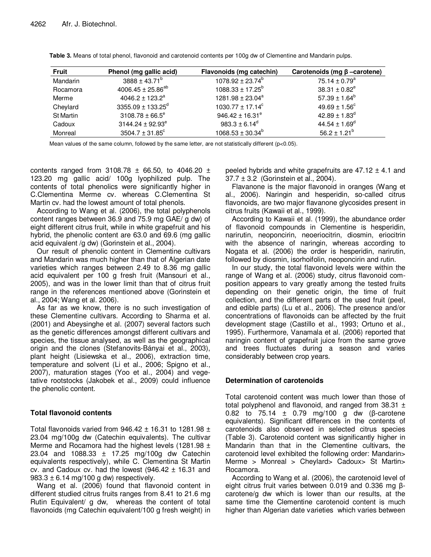| <b>Fruit</b>     | Phenol (mg gallic acid)       | Flavonoids (mg catechin)    | Carotenoids (mg $\beta$ -carotene) |
|------------------|-------------------------------|-----------------------------|------------------------------------|
| Mandarin         | $3888 \pm 43.71^b$            | $1078.92 \pm 23.74^b$       | 75.14 $\pm$ 0.79 <sup>a</sup>      |
| Rocamora         | 4006.45 ± 25.86 <sup>ab</sup> | $1088.33 \pm 17.25^b$       | $38.31 \pm 0.82^e$                 |
| Merme            | 4046.2 ± 123.2 <sup>a</sup>   | $1281.98 \pm 23.04^a$       | $57.39 \pm 1.64^b$                 |
| Cheylard         | $3355.09 \pm 133.25^d$        | $1030.77 \pm 17.14^c$       | $49.69 \pm 1.56^{\circ}$           |
| <b>St Martin</b> | $3108.78 \pm 66.5^{\circ}$    | 946.42 ± 16.31 <sup>e</sup> | $42.89 \pm 1.83$ <sup>d</sup>      |
| Cadoux           | $3144.24 \pm 92.93^e$         | $983.3 \pm 6.14^d$          | $44.54 \pm 1.69^{\circ}$           |
| Monreal          | $3504.7 \pm 31.85$ °          | $1068.53 \pm 30.34^b$       | $56.2 \pm 1.21^b$                  |

**Table 3.** Means of total phenol, flavonoid and carotenoid contents per 100g dw of Clementine and Mandarin pulps.

Mean values of the same column, followed by the same letter, are not statistically different (p<0.05).

contents ranged from 3108.78  $\pm$  66.50, to 4046.20  $\pm$ 123.20 mg gallic acid/ 100g lyophilized pulp. The contents of total phenolics were significantly higher in C.Clementina Merme cv. whereas C.Clementina St Martin cv. had the lowest amount of total phenols.

According to Wang et al. (2006), the total polyphenols content ranges between 36.9 and 75.9 mg GAE/ g dw) of eight different citrus fruit, while in white grapefruit and his hybrid, the phenolic content are 63.0 and 69.6 (mg gallic acid equivalent /g dw) (Gorinstein et al., 2004).

Our result of phenolic content in Clementine cultivars and Mandarin was much higher than that of Algerian date varieties which ranges between 2.49 to 8.36 mg gallic acid equivalent per 100 g fresh fruit (Mansouri et al., 2005), and was in the lower limit than that of citrus fruit range in the references mentioned above (Gorinstein et al., 2004; Wang et al. 2006).

As far as we know, there is no such investigation of these Clementine cultivars. According to Sharma et al. (2001) and Abeysinghe et al. (2007) several factors such as the genetic differences amongst different cultivars and species, the tissue analysed, as well as the geographical origin and the clones (Stefanovits-Bányai et al., 2003), plant height (Lisiewska et al., 2006), extraction time, temperature and solvent (Li et al., 2006; Spigno et al., 2007), maturation stages (Yoo et al., 2004) and vegetative rootstocks (Jakobek et al., 2009) could influence the phenolic content.

# **Total flavonoid contents**

Total flavonoids varied from 946.42  $\pm$  16.31 to 1281.98  $\pm$ 23.04 mg/100g dw (Catechin equivalents). The cultivar Merme and Rocamora had the highest levels (1281.98 ± 23.04 and 1088.33 ± 17.25 mg/100g dw Catechin equivalents respectively), while C. Clementina St Martin cv. and Cadoux cv. had the lowest  $(946.42 \pm 16.31$  and 983.3  $\pm$  6.14 mg/100 g dw) respectively.

Wang et al. (2006) found that flavonoid content in different studied citrus fruits ranges from 8.41 to 21.6 mg Rutin Equivalent/ g dw, whereas the content of total flavonoids (mg Catechin equivalent/100 g fresh weight) in peeled hybrids and white grapefruits are  $47.12 \pm 4.1$  and 37.7 ± 3.2 (Gorinstein et al., 2004).

Flavanone is the major flavonoid in oranges (Wang et al., 2006). Naringin and hesperidin, so-called citrus flavonoids, are two major flavanone glycosides present in citrus fruits (Kawaii et al., 1999).

According to Kawaii et al. (1999), the abundance order of flavonoid compounds in Clementine is hesperidin, narirutin, neoponcirin, neoeriocitrin, diosmin, eriocitrin with the absence of naringin, whereas according to Nogata et al. (2006) the order is hesperidin, narirutin, followed by diosmin, isorhoifolin, neoponcirin and rutin.

In our study, the total flavonoid levels were within the range of Wang et al. (2006) study, citrus flavonoid composition appears to vary greatly among the tested fruits depending on their genetic origin, the time of fruit collection, and the different parts of the used fruit (peel, and edible parts) (Lu et al., 2006). The presence and/or concentrations of flavonoids can be affected by the fruit development stage (Castillo et al., 1993; Ortuno et al., 1995). Furthermore, Vanamala et al. (2006) reported that naringin content of grapefruit juice from the same grove and trees fluctuates during a season and varies considerably between crop years.

# **Determination of carotenoids**

Total carotenoid content was much lower than those of total polyphenol and flavonoid, and ranged from  $38.31 \pm$ 0.82 to 75.14 ± 0.79 mg/100 g dw (β-carotene equivalents). Significant differences in the contents of carotenoids also observed in selected citrus species (Table 3). Carotenoid content was significantly higher in Mandarin than that in the Clementine cultivars, the carotenoid level exhibited the following order: Mandarin> Merme > Monreal > Cheylard> Cadoux> St Martin> Rocamora.

According to Wang et al. (2006), the carotenoid level of eight citrus fruit varies between 0.019 and 0.336 mg βcarotene/g dw which is lower than our results, at the same time the Clementine carotenoid content is much higher than Algerian date varieties which varies between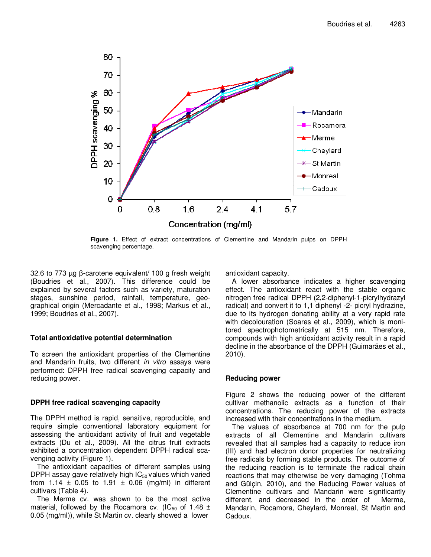

**Figure 1.** Effect of extract concentrations of Clementine and Mandarin pulps on DPPH scavenging percentage.

32.6 to 773 µg β-carotene equivalent/ 100 g fresh weight (Boudries et al., 2007). This difference could be explained by several factors such as variety, maturation stages, sunshine period, rainfall, temperature, geographical origin (Mercadante et al., 1998; Markus et al., 1999; Boudries et al., 2007).

# **Total antioxidative potential determination**

To screen the antioxidant properties of the Clementine and Mandarin fruits, two different in vitro assays were performed: DPPH free radical scavenging capacity and reducing power.

# **DPPH free radical scavenging capacity**

The DPPH method is rapid, sensitive, reproducible, and require simple conventional laboratory equipment for assessing the antioxidant activity of fruit and vegetable extracts (Du et al., 2009). All the citrus fruit extracts exhibited a concentration dependent DPPH radical scavenging activity (Figure 1).

The antioxidant capacities of different samples using DPPH assay gave relatively high  $IC_{50}$  values which varied from 1.14  $\pm$  0.05 to 1.91  $\pm$  0.06 (mg/ml) in different cultivars (Table 4).

The Merme cv. was shown to be the most active material, followed by the Rocamora cv. (IC<sub>50</sub> of 1.48  $\pm$ 0.05 (mg/ml)), while St Martin cv. clearly showed a lower

antioxidant capacity.

A lower absorbance indicates a higher scavenging effect. The antioxidant react with the stable organic nitrogen free radical DPPH (2,2-diphenyl-1-picrylhydrazyl radical) and convert it to 1,1 diphenyl -2- picryl hydrazine, due to its hydrogen donating ability at a very rapid rate with decolouration (Soares et al., 2009), which is monitored spectrophotometrically at 515 nm. Therefore, compounds with high antioxidant activity result in a rapid decline in the absorbance of the DPPH (Guimarães et al., 2010).

# **Reducing power**

Figure 2 shows the reducing power of the different cultivar methanolic extracts as a function of their concentrations. The reducing power of the extracts increased with their concentrations in the medium.

The values of absorbance at 700 nm for the pulp extracts of all Clementine and Mandarin cultivars revealed that all samples had a capacity to reduce iron (III) and had electron donor properties for neutralizing free radicals by forming stable products. The outcome of the reducing reaction is to terminate the radical chain reactions that may otherwise be very damaging (Tohma and Gülçin, 2010), and the Reducing Power values of Clementine cultivars and Mandarin were significantly different, and decreased in the order of Merme, Mandarin, Rocamora, Cheylard, Monreal, St Martin and Cadoux.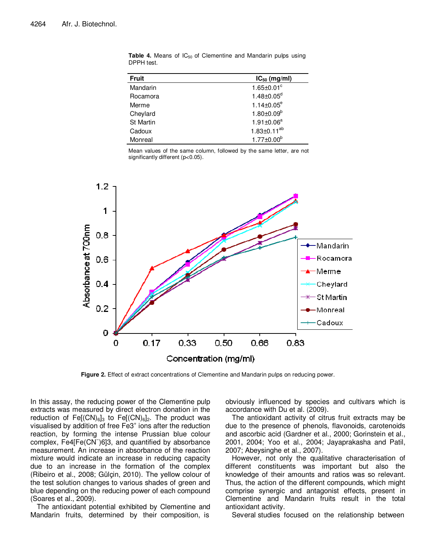| <b>Fruit</b>     | $IC_{50}$ (mg/ml)    |
|------------------|----------------------|
| Mandarin         | $1.65 \pm 0.01^c$    |
| Rocamora         | $1.48 \pm 0.05^d$    |
| Merme            | $1.14 \pm 0.05^e$    |
| Cheylard         | $1.80 \pm 0.09^b$    |
| <b>St Martin</b> | $1.91 \pm 0.06^a$    |
| Cadoux           | $1.83 \pm 0.11^{ab}$ |
| Monreal          | $1.77 \pm 0.00^b$    |

**Table 4.** Means of IC<sub>50</sub> of Clementine and Mandarin pulps using DPPH test.

Mean values of the same column, followed by the same letter, are not significantly different (p<0.05).



**Figure 2.** Effect of extract concentrations of Clementine and Mandarin pulps on reducing power.

In this assay, the reducing power of the Clementine pulp extracts was measured by direct electron donation in the reduction of  $Fe[(CN)_6]_3$  to  $Fe[(CN)_6]_2$ . The product was visualised by addition of free Fe3<sup>+</sup> ions after the reduction reaction, by forming the intense Prussian blue colour complex, Fe4[Fe(CN<sup>−</sup> )6]3, and quantified by absorbance measurement. An increase in absorbance of the reaction mixture would indicate an increase in reducing capacity due to an increase in the formation of the complex (Ribeiro et al., 2008; Gülçin, 2010). The yellow colour of the test solution changes to various shades of green and blue depending on the reducing power of each compound (Soares et al., 2009).

The antioxidant potential exhibited by Clementine and Mandarin fruits, determined by their composition, is

obviously influenced by species and cultivars which is accordance with Du et al. (2009).

The antioxidant activity of citrus fruit extracts may be due to the presence of phenols, flavonoids, carotenoids and ascorbic acid (Gardner et al., 2000; Gorinstein et al., 2001, 2004; Yoo et al., 2004; Jayaprakasha and Patil, 2007; Abeysinghe et al., 2007).

However, not only the qualitative characterisation of different constituents was important but also the knowledge of their amounts and ratios was so relevant. Thus, the action of the different compounds, which might comprise synergic and antagonist effects, present in Clementine and Mandarin fruits result in the total antioxidant activity.

Several studies focused on the relationship between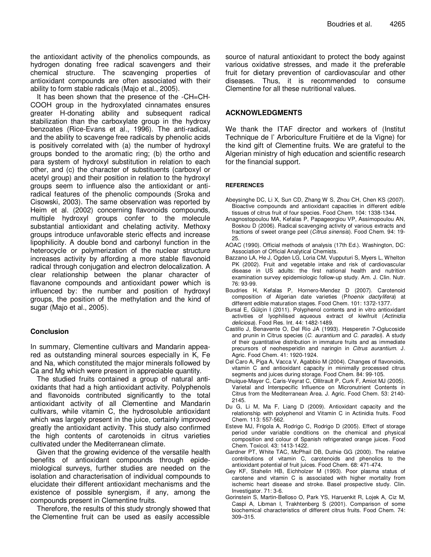the antioxidant activity of the phenolics compounds, as hydrogen donating free radical scavengers and their chemical structure. The scavenging properties of antioxidant compounds are often associated with their ability to form stable radicals (Majo et al., 2005).

It has been shown that the presence of the -CH=CH-COOH group in the hydroxylated cinnamates ensures greater H-donating ability and subsequent radical stabilization than the carboxylate group in the hydroxy benzoates (Rice-Evans et al., 1996). The anti-radical, and the ability to scavenge free radicals by phenolic acids is positively correlated with (a) the number of hydroxyl groups bonded to the aromatic ring; (b) the ortho and para system of hydroxyl substitution in relation to each other, and (c) the character of substituents (carboxyl or acetyl group) and their position in relation to the hydroxyl groups seem to influence also the antioxidant or antiradical features of the phenolic compounds (Sroka and Cisowski, 2003). The same observation was reported by Heim et al. (2002) concerning flavonoids compounds, multiple hydroxyl groups confer to the molecule substantial antioxidant and chelating activity. Methoxy groups introduce unfavorable steric effects and increase lipophilicity. A double bond and carbonyl function in the heterocycle or polymerization of the nuclear structure increases activity by affording a more stable flavonoid radical through conjugation and electron delocalization. A clear relationship between the planar character of flavanone compounds and antioxidant power which is influenced by: the number and position of hydroxyl groups, the position of the methylation and the kind of sugar (Majo et al., 2005).

# **Conclusion**

In summary, Clementine cultivars and Mandarin appeared as outstanding mineral sources especially in K, Fe and Na, which constituted the major minerals followed by Ca and Mg which were present in appreciable quantity.

The studied fruits contained a group of natural antioxidants that had a high antioxidant activity. Polyphenols and flavonoids contributed significantly to the total antioxidant activity of all Clementine and Mandarin cultivars, while vitamin C, the hydrosoluble antioxidant which was largely present in the juice, certainly improved greatly the antioxidant activity. This study also confirmed the high contents of carotenoids in citrus varieties cultivated under the Mediterranean climate.

Given that the growing evidence of the versatile health benefits of antioxidant compounds through epidemiological surveys, further studies are needed on the isolation and characterisation of individual compounds to elucidate their different antioxidant mechanisms and the existence of possible synergism, if any, among the compounds present in Clementine fruits.

Therefore, the results of this study strongly showed that the Clementine fruit can be used as easily accessible

source of natural antioxidant to protect the body against various oxidative stresses, and made it the preferable fruit for dietary prevention of cardiovascular and other diseases. Thus, it is recommended to consume Clementine for all these nutritional values.

# **ACKNOWLEDGMENTS**

We thank the ITAF director and workers of (Institut Technique de l' Arboriculture Fruitière et de la Vigne) for the kind gift of Clementine fruits. We are grateful to the Algerian ministry of high education and scientific research for the financial support.

## **REFERENCES**

- Abeysinghe DC, Li X, Sun CD, Zhang W S, Zhou CH, Chen KS (2007). Bioactive compounds and antioxidant capacities in different edible tissues of citrus fruit of four species. Food Chem. 104: 1338-1344.
- Anagnostopoulou MA, Kefalas P, Papageorgiou VP, Assimopoulou AN, Boskou D (2006). Radical scavenging activity of various extracts and fractions of sweet orange peel (Citrus sinensis). Food Chem. 94: 19- 25.
- AOAC (1990). Official methods of analysis (17th Ed.). Washington, DC: Association of Official Analytical Chemists.
- Bazzano LA, He J, Ogden LG, Loria CM, Vupputuri S, Myers L, Whelton PK (2002). Fruit and vegetable intake and risk of cardiovascular disease in US adults: the first national health and nutrition examination survey epidemiologic follow-up study. Am. J. Clin. Nutr. 76: 93-99.
- Boudries H, Kefalas P, Hornero-Mendez D (2007). Carotenoid composition of Algerian date varieties (Phoenix dactylifera) at different edible maturation stages. Food Chem. 101: 1372-1377.
- Bursal E, Gülçin I (2011). Polyphenol contents and in vitro antioxidant activities of lyophilised aqueous extract of kiwifruit (Actinidia deliciosa). Food Res. Int. 44: 1482-1489.
- Castillo J, Benavente O, Del Rio JA (1993). Hesperetin 7-Oglucoside and prunin in Citrus species (C. aurantium and C. paradisi). A study of their quantitative distribution in immature fruits and as immediate precursors of neohesperidin and naringin in Citrus aurantium. J. Agric. Food Chem. 41: 1920-1924.
- Del Caro A, Piga A, Vacca V, Agabbio M (2004). Changes of flavonoids, vitamin C and antioxidant capacity in minimally processed citrus segments and juices during storage. Food Chem. 84: 99-105.
- Dhuique-Mayer C, Caris-Veyrat C, Ollitrault P, Curk F, Amiot MJ (2005). Varietal and Interspecific Influence on Micronutrient Contents in Citrus from the Mediterranean Area. J. Agric. Food Chem. 53: 2140- 2145.
- Du G, Li M, Ma F, Liang D (2009). Antioxidant capacity and the relationship with polyphenol and Vitamin C in Actinidia fruits. Food Chem. 113: 557-562.
- Esteve MJ, Frigola A, Rodrigo C, Rodrigo D (2005). Effect of storage period under variable conditions on the chemical and physical composition and colour of Spanish refrigerated orange juices. Food Chem. Toxicol. 43: 1413-1422.
- Gardner PT, White TAC, McPhail DB, Duthie GG (2000). The relative contributions of vitamin C, carotenoids and phenolics to the antioxidant potential of fruit juices. Food Chem. 68: 471-474.
- Gey KF, Stahelin HB, Eichholzer M (1993). Poor plasma status of carotene and vitamin C is associated with higher mortality from ischemic heart disease and stroke. Basel prospective study. Clin. Investigator. 71: 3-6.
- Gorinstein S, Martin-Belloso O, Park YS, Haruenkit R, Lojek A, Ciz M, Caspi A, Libman I, Trakhtenberg S (2001). Comparison of some biochemical characteristics of different citrus fruits. Food Chem. 74: 309–315.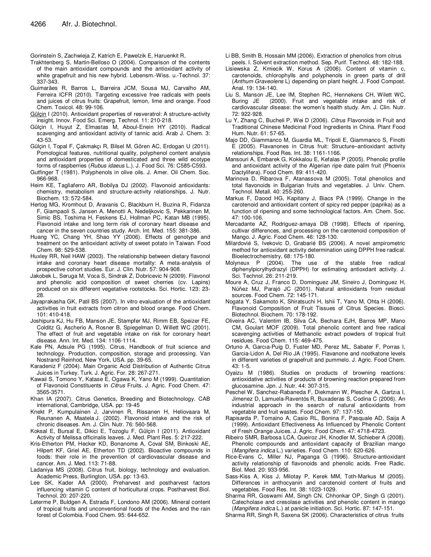Gorinstein S, Zachwieja Z, Katrich E, Pawelzik E, Haruenkit R,

- Trakhtenberg S, Martin-Belloso O (2004). Comparison of the contents of the main antioxidant compounds and the antioxidant activity of white grapefruit and his new hybrid. Lebensm.-Wiss. u.-Technol. 37: 337-343.
- Guimarães R, Barros L, Barreira JCM, Sousa MJ, Carvalho AM, Ferreira ICFR (2010). Targeting excessive free radicals with peels and juices of citrus fruits: Grapefruit, lemon, lime and orange. Food Chem. Toxicol. 48: 99-106.
- Gülçin I (2010). Antioxidant properties of resveratrol: A structure-activity insight. Innov. Food Sci. Emerg. Technol. 11: 210-218.
- Gülçin I, Huyut Z, Elmastas M, Aboul-Enein HY (2010). Radical scavenging and antioxidant activity of tannic acid. Arab J. Chem. 3: 43-53.
- Gülçin I, Topal F, Çakmakçı R, Bilsel M, Gören AC, Erdogan U (2011). Pomological features, nutritional quality, polyphenol content analysis and antioxidant properties of domesticated and three wild ecotype forms of raspberries (Rubus idaeus L.). J. Food Sci. 76: C585-C593.
- Gutfinger T (1981). Polyphenols in olive oils. J. Amer. Oil Chem. Soc. 966-968.
- Heim KE, Tagliaferro AR, Bobilya DJ (2002). Flavonoid antioxidants: chemistry, metabolism and structure-activity relationships. J. Nutr. Biochem. 13: 572-584.
- Hertog MG, Kromhout D, Aravanis C, Blackburn H, Buzina R, Fidanza F, Giampaoli S, Jansen A, Menotti A, Nedeljkovic S, Pekkarinen M, Simic BS, Toshima H, Feskens EJ, Hollman PC, Katan MB (1995). Flavonoid intake and long term risk of coronary heart disease and cancer in the seven countries study. Arch. Int. Med. 155: 381-386.
- Huang YC, Chang YH, Shao YY (2006). Effects of genotype and treatment on the antioxidant activity of sweet potato in Taiwan. Food Chem. 98: 529-538.
- Huxley RR, Neil HAW (2003). The relationship between dietary flavonol intake and coronary heart disease mortality: A meta-analysis of prospective cohort studies. Eur. J. Clin. Nutr. 57: 904-908.
- Jakobek L, Seruga M, Voca S, Sindrak Z, Dobricevic N (2009). Flavonol and phenolic acid composition of sweet cherries (cv. Lapins) produced on six different vegetative rootstocks. Sci. Hortic. 123: 23- 28.
- Jayaprakasha GK, Patil BS (2007). In vitro evaluation of the antioxidant activities in fruit extracts from citron and blood orange. Food Chem. 101: 410-418.
- Joshipura KJ, Hu FB, Manson JE, Stampfer MJ, Rimm EB, Speizer FE, Colditz G, Ascherio A, Rosner B, Spiegelman D, Willett WC (2001). The effect of fruit and vegetable intake on risk for coronary heart disease. Ann. Int. Med. 134: 1106-1114.
- Kale PN, Adsule PG (1995). Citrus, Handbook of fruit science and technology. Production, composition, storage and processing. Van Nostrand Reinhod, New York, USA. pp. 39-65.
- Karadeniz F (2004). Main Organic Acid Distribution of Authentic Citrus Juices in Turkey. Turk. J. Agric. For. 28: 267-271.
- Kawaii S, Tomono Y, Katase E, Ogawa K, Yano M (1999). Quantitation of Flavonoid Constituents in Citrus Fruits. J. Agric. Food Chem. 47: 3565-3571.
- Khan IA (2007). Citrus Genetics, Breeding and Biotechnology. CAB international, Cambridge, USA. pp: 19-45
- Knekt P, Kumpulainen J, Jarvinen R, Rissanen H, Heliovaara M, Reunanen A, Maatela J. (2002). Flavonoid intake and the risk of chronic diseases. Am. J. Clin. Nutr. 76: 560-568.
- Koksal E, Bursal E, Dikici E, Tozoglu F, Gülçin I (2011). Antioxidant Activity of Melissa officinalis leaves. J. Med. Plant Res. 5: 217-222.
- Kris-Etherton PM, Hecker KD, Bonanome A, Coval SM, Binkoski AE, Hilpert KF, Griel AE, Etherton TD (2002). Bioactive compounds in foods: their role in the prevention of cardiovascular disease and cancer. Am. J. Med. 113: 71-88.
- Ladaniya MS (2008). Citrus fruit, biology, technology and evaluation. Academic Press, Burlington, USA. pp: 13-63.
- Lee SK, Kader AA (2000). Preharvest and postharvest factors influencing vitamin C content of horticultural crops. Postharvest Biol. Technol. 20: 207-220.
- Leterme P, Buldgen A, Estrada F, Londono AM (2006). Mineral content of tropical fruits and unconventional foods of the Andes and the rain forest of Colombia. Food Chem. 95: 644-652.
- Li BB, Smith B, Hossain MM (2006). Extraction of phenolics from citrus peels. I. Solvent extraction method. Sep. Purif. Technol. 48: 182-188.
- Lisiewska Z, Kmiecik W, Korus A (2006). Content of vitamin c, carotenoids, chlorophylls and polyphenols in green parts of drill (Anthum Graveolens L) depending on plant height. J. Food Compost. Anal. 19: 134-140.
- Liu S, Manson JE, Lee IM, Stephen RC, Hennekens CH, Wilett WC, Buring JE (2000). Fruit and vegetable intake and risk of cardiovascular disease: the women's health study. Am. J. Clin. Nutr. 72: 922-928.
- Lu Y, Zhang C, Bucheli P, Wei D (2006). Citrus Flavonoids in Fruit and Traditional Chinese Medicinal Food Ingredients in China. Plant Food Hum. Nutr. 61: 57-65.
- Majo DD, Giammanco M, Guardia ML, Tripoli E, Giammanco S, Finotti E (2005). Flavanones in Citrus fruit: Structure–antioxidant activity relationships. Food Res. Int. 38: 1161-1166.
- Mansouri A, Embarek G, Kokkalou E, Kefalas P (2005). Phenolic profile and antioxidant activity of the Algerian ripe date palm fruit (Phoenix Dactylifera). Food Chem. 89: 411-420.
- Marinova D, Ribarova F, Atanassova M (2005). Total phenolics and total flavonoids in Bulgarian fruits and vegetables. J. Univ. Chem. Technol. Metall. 40: 255-260.
- Markus F, Daood HG, Kapitany J, Biacs PA (1999). Change in the carotenoid and antioxidant content of spicy red pepper (paprika) as a function of ripening and some technological factors. Am. Chem. Soc. 47: 100-106.
- Mercadante AZ, Rodriguez-amaya DB (1998). Effects of ripening, cultivar differences, and processing on the carotenoid composition of Mango. J. Agric. Food Chem. 46: 128-130.
- Milardovié S, Ivekovic D, Grabarié BS (2006). A novel ampirometric method for antioxidant activity determination using DPPH free radical. Bioelectrochemistry, 68: 175-180.
- Molyneux P (2004). The use of the stable free radical diphenylpicrylhydrazyl (DPPH) for estimating antioxdant activity. J. Sci. Technol. 26: 211-219.
- Moure A, Cruz J, Franco D, Dominguez JM, Sineiro J, Dominguez H, Núñez MJ, Parajó JC (2001). Natural antioxidants from residual sources. Food Chem. 72: 145-171.
- Nogata Y, Sakamoto K, Shiratsuchi H, Ishii T, Yano M, Ohta H (2006). Flavonoid Composition of Fruit Tissues of Citrus Species. Biosci. Biotechnol. Biochem. 70: 178-192.
- Oliveira AC, Valentim IB, Silva CA, Bechara EJH, Barros MP, Mano CM, Goulart MOF (2009). Total phenolic content and free radical scavenging activities of Methanolic extract powders of tropical fruit residues. Food Chem. 115: 469-475.
- Ortuno A, Garcıa-Puig D, Fuster MD, Perez ML, Sabater F, Porras I, Garcia-Lidon A, Del Rio JA (1995). Flavanone and nootkatone levels in different varieties of grapefruit and pummelo. J. Agric. Food Chem. 43: 1-5.
- Oyaizu M (1986). Studies on products of browning reactions: antioxidative activities of products of browning reaction prepared from glucosamine. Jpn. J. Nutr. 44: 307-315.
- Peschel W, Sanchez-Rabaneda F, Diekmann W, Plescher A, Gartzıa I, Jimenez D, Lamuela-Raventós R, Buxaderas S, Codina C (2006). An industrial approach in the search of natural antioxidants from vegetable and fruit wastes. Food Chem. 97: 137-150.
- Rapisarda P, Tomaino A, Casio RL, Bonina F, Pasquale AD, Saija A (1999). Antioxidant Effectiveness As Influenced by Phenolic Content of Fresh Orange Juices. J. Agric. Food Chem. 47: 4718-4723.
- Ribeiro SMR, Barbosa LCA, Queiroz JH, Knodler M, Schieber A (2008). Phenolic compounds and antioxidant capacity of Brazilian mango (Mangifera indica L.) varieties. Food Chem. 110: 620-626.
- Rice-Evans C, Miller NJ, Paganga G (1996). Structure-antioxidant activity relationship of flavonoids and phenolic acids. Free Radic. Biol. Med. 20: 933-956.
- Sass-Kiss A, Kiss J, Milotay P, Kerek MM, Toth-Markus M (2005). Differences in anthocyanin and carotenoid content of fruits and vegetables. Food Res. Int. 38: 1023-1029.
- Sharma RR, Goswami AM, Singh CN, Chhonkar OP, Singh G (2001). Catecholase and cresolase activities and phenolic content in mango (Mangifera indica L.) at panicle initiation. Sci. Hortic. 87: 147-151.
- Sharma RR, Singh R, Saxena SK (2006). Characteristics of citrus fruits